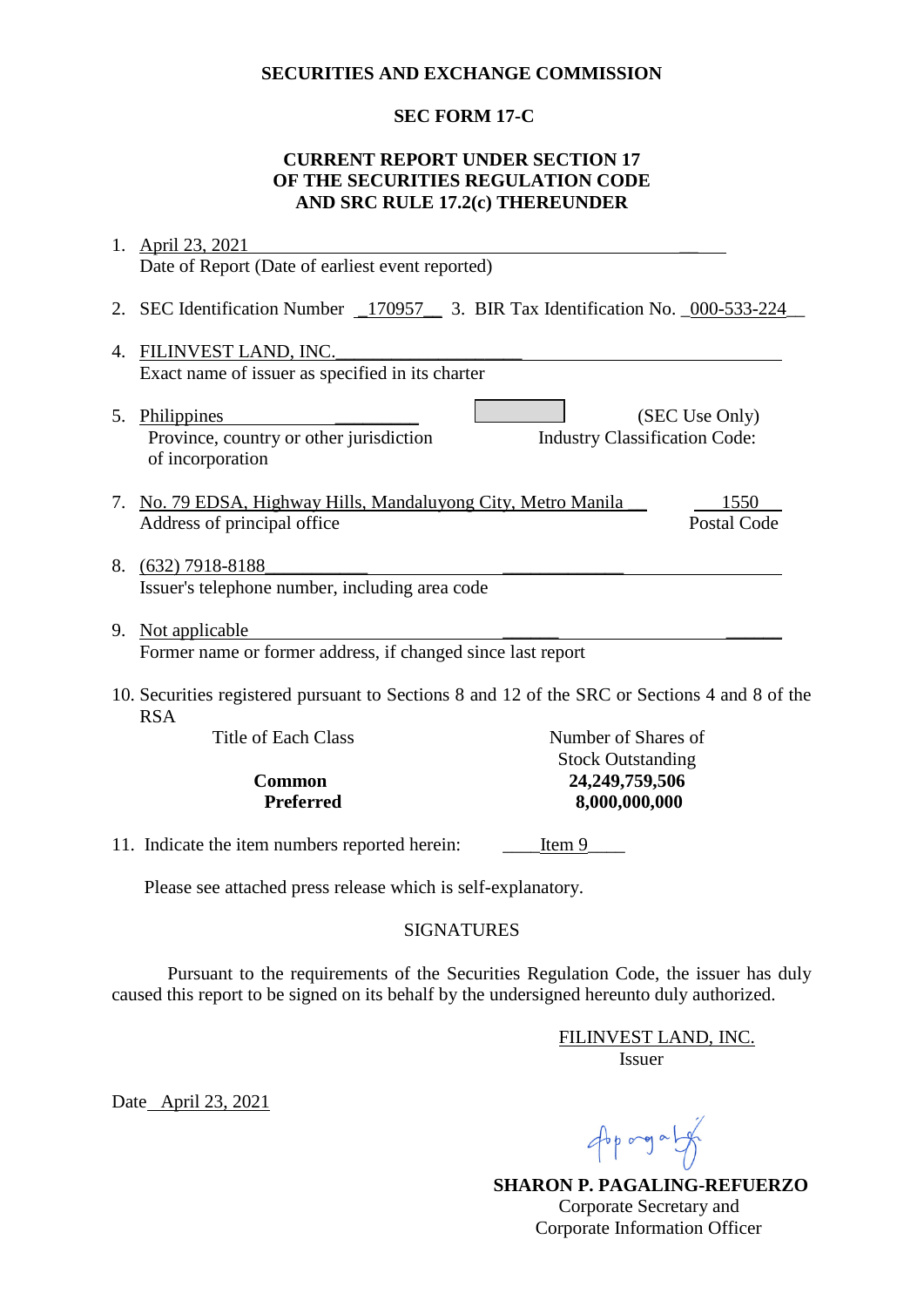#### **SECURITIES AND EXCHANGE COMMISSION**

## **SEC FORM 17-C**

### **CURRENT REPORT UNDER SECTION 17 OF THE SECURITIES REGULATION CODE AND SRC RULE 17.2(c) THEREUNDER**

|                                                                                                             | 1. April 23, 2021                                                                  |                                            |                |  |
|-------------------------------------------------------------------------------------------------------------|------------------------------------------------------------------------------------|--------------------------------------------|----------------|--|
|                                                                                                             | Date of Report (Date of earliest event reported)                                   |                                            |                |  |
|                                                                                                             | 2. SEC Identification Number _170957 __ 3. BIR Tax Identification No. _000-533-224 |                                            |                |  |
| 4.                                                                                                          | FILINVEST LAND, INC.                                                               |                                            |                |  |
| Exact name of issuer as specified in its charter                                                            |                                                                                    |                                            |                |  |
|                                                                                                             | 5. Philippines<br>Province, country or other jurisdiction<br>of incorporation      | <b>Industry Classification Code:</b>       | (SEC Use Only) |  |
|                                                                                                             | 7. No. 79 EDSA, Highway Hills, Mandaluyong City, Metro Manila                      |                                            | 1550           |  |
|                                                                                                             | Address of principal office                                                        |                                            | Postal Code    |  |
|                                                                                                             | 8. (632) 7918-8188<br>Issuer's telephone number, including area code               |                                            |                |  |
| 9.                                                                                                          | Not applicable                                                                     |                                            |                |  |
| Former name or former address, if changed since last report                                                 |                                                                                    |                                            |                |  |
| 10. Securities registered pursuant to Sections 8 and 12 of the SRC or Sections 4 and 8 of the<br><b>RSA</b> |                                                                                    |                                            |                |  |
|                                                                                                             | <b>Title of Each Class</b>                                                         | Number of Shares of                        |                |  |
|                                                                                                             | <b>Common</b>                                                                      | <b>Stock Outstanding</b><br>24,249,759,506 |                |  |
|                                                                                                             | 8,000,000,000<br><b>Preferred</b>                                                  |                                            |                |  |
|                                                                                                             |                                                                                    |                                            |                |  |
|                                                                                                             | 11. Indicate the item numbers reported herein:<br>Item 9                           |                                            |                |  |
|                                                                                                             | Please see attached press release which is self-explanatory.                       |                                            |                |  |

## SIGNATURES

Pursuant to the requirements of the Securities Regulation Code, the issuer has duly caused this report to be signed on its behalf by the undersigned hereunto duly authorized.

> FILINVEST LAND, INC. Issuer

Date April 23, 2021

 $46p$  ang a  $14p$ 

 **SHARON P. PAGALING-REFUERZO** Corporate Secretary and Corporate Information Officer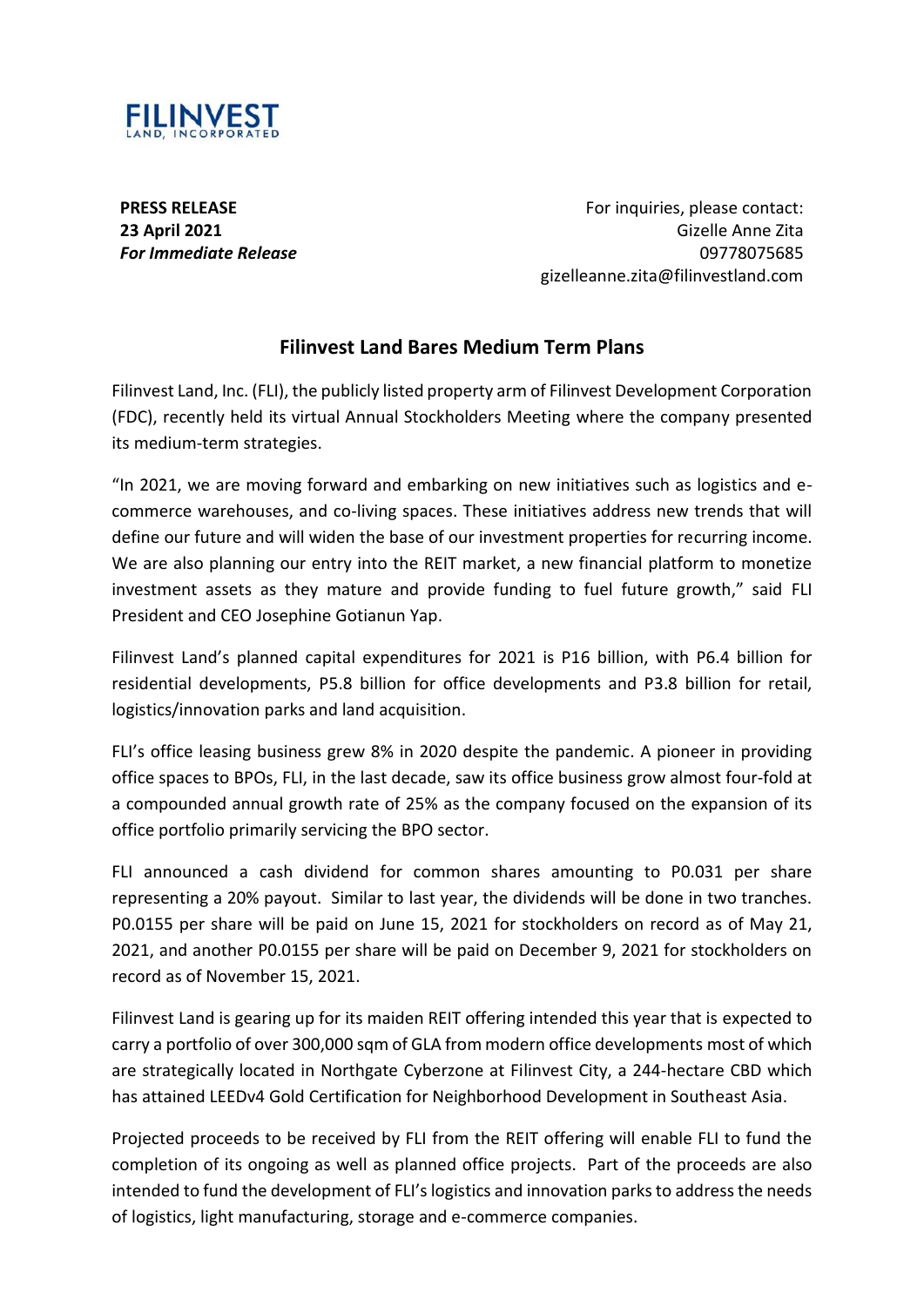

**PRESS RELEASE 23 April 2021** *For Immediate Release*

For inquiries, please contact: Gizelle Anne Zita 09778075685 gizelleanne.zita@filinvestland.com

# **Filinvest Land Bares Medium Term Plans**

Filinvest Land, Inc. (FLI), the publicly listed property arm of Filinvest Development Corporation (FDC), recently held its virtual Annual Stockholders Meeting where the company presented its medium-term strategies.

"In 2021, we are moving forward and embarking on new initiatives such as logistics and ecommerce warehouses, and co-living spaces. These initiatives address new trends that will define our future and will widen the base of our investment properties for recurring income. We are also planning our entry into the REIT market, a new financial platform to monetize investment assets as they mature and provide funding to fuel future growth," said FLI President and CEO Josephine Gotianun Yap.

Filinvest Land's planned capital expenditures for 2021 is P16 billion, with P6.4 billion for residential developments, P5.8 billion for office developments and P3.8 billion for retail, logistics/innovation parks and land acquisition.

FLI's office leasing business grew 8% in 2020 despite the pandemic. A pioneer in providing office spaces to BPOs, FLI, in the last decade, saw its office business grow almost four-fold at a compounded annual growth rate of 25% as the company focused on the expansion of its office portfolio primarily servicing the BPO sector.

FLI announced a cash dividend for common shares amounting to P0.031 per share representing a 20% payout. Similar to last year, the dividends will be done in two tranches. P0.0155 per share will be paid on June 15, 2021 for stockholders on record as of May 21, 2021, and another P0.0155 per share will be paid on December 9, 2021 for stockholders on record as of November 15, 2021.

Filinvest Land is gearing up for its maiden REIT offering intended this year that is expected to carry a portfolio of over 300,000 sqm of GLA from modern office developments most of which are strategically located in Northgate Cyberzone at Filinvest City, a 244-hectare CBD which has attained LEEDv4 Gold Certification for Neighborhood Development in Southeast Asia.

Projected proceeds to be received by FLI from the REIT offering will enable FLI to fund the completion of its ongoing as well as planned office projects. Part of the proceeds are also intended to fund the development of FLI's logistics and innovation parks to address the needs of logistics, light manufacturing, storage and e-commerce companies.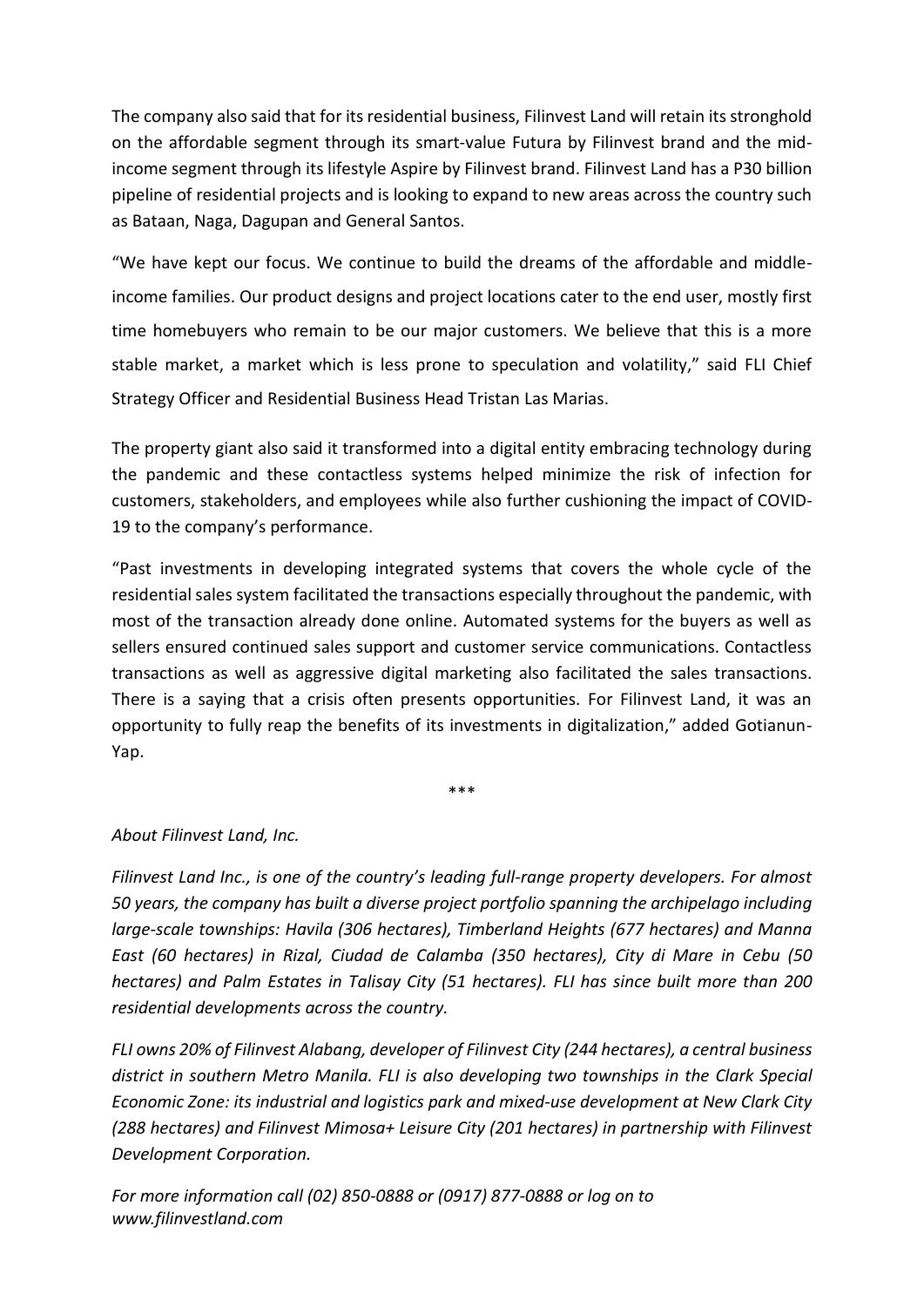The company also said that for its residential business, Filinvest Land will retain its stronghold on the affordable segment through its smart-value Futura by Filinvest brand and the midincome segment through its lifestyle Aspire by Filinvest brand. Filinvest Land has a P30 billion pipeline of residential projects and is looking to expand to new areas across the country such as Bataan, Naga, Dagupan and General Santos.

"We have kept our focus. We continue to build the dreams of the affordable and middleincome families. Our product designs and project locations cater to the end user, mostly first time homebuyers who remain to be our major customers. We believe that this is a more stable market, a market which is less prone to speculation and volatility," said FLI Chief Strategy Officer and Residential Business Head Tristan Las Marias.

The property giant also said it transformed into a digital entity embracing technology during the pandemic and these contactless systems helped minimize the risk of infection for customers, stakeholders, and employees while also further cushioning the impact of COVID-19 to the company's performance.

"Past investments in developing integrated systems that covers the whole cycle of the residential sales system facilitated the transactions especially throughout the pandemic, with most of the transaction already done online. Automated systems for the buyers as well as sellers ensured continued sales support and customer service communications. Contactless transactions as well as aggressive digital marketing also facilitated the sales transactions. There is a saying that a crisis often presents opportunities. For Filinvest Land, it was an opportunity to fully reap the benefits of its investments in digitalization," added Gotianun-Yap.

\*\*\*

# *About Filinvest Land, Inc.*

*Filinvest Land Inc., is one of the country's leading full-range property developers. For almost 50 years, the company has built a diverse project portfolio spanning the archipelago including large-scale townships: Havila (306 hectares), Timberland Heights (677 hectares) and Manna East (60 hectares) in Rizal, Ciudad de Calamba (350 hectares), City di Mare in Cebu (50 hectares) and Palm Estates in Talisay City (51 hectares). FLI has since built more than 200 residential developments across the country.*

*FLI owns 20% of Filinvest Alabang, developer of Filinvest City (244 hectares), a central business district in southern Metro Manila. FLI is also developing two townships in the Clark Special Economic Zone: its industrial and logistics park and mixed-use development at New Clark City (288 hectares) and Filinvest Mimosa+ Leisure City (201 hectares) in partnership with Filinvest Development Corporation.*

*For more information call (02) 850-0888 or (0917) 877-0888 or log on to www.filinvestland.com*